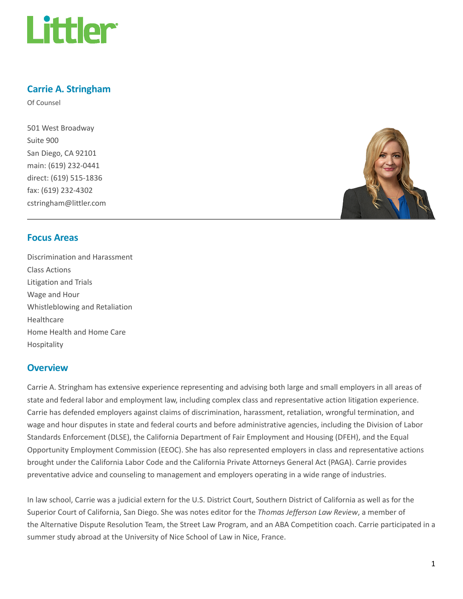

# Carrie A. Stringham

Of Counsel

501 West Broadway Suite 900 San Diego, CA 92101 main: (619) 232-0441 direct: (619) 515-1836 fax: (619) 232-4302 cstringham@littler.com



#### Focus Areas

Discrimination and Harassment Class Actions Litigation and Trials Wage and Hour Whistleblowing and Retaliation Healthcare Home Health and Home Care Hospitality

#### **Overview**

Carrie A. Stringham has extensive experience representing and advising both large and small employers in all areas of state and federal labor and employment law, including complex class and representative action litigation experience. Carrie has defended employers against claims of discrimination, harassment, retaliation, wrongful termination, and wage and hour disputes in state and federal courts and before administrative agencies, including the Division of Labor Standards Enforcement (DLSE), the California Department of Fair Employment and Housing (DFEH), and the Equal Opportunity Employment Commission (EEOC). She has also represented employers in class and representative actions brought under the California Labor Code and the California Private Attorneys General Act (PAGA). Carrie provides preventative advice and counseling to management and employers operating in a wide range of industries.

In law school, Carrie was a judicial extern for the U.S. District Court, Southern District of California as well as for the Superior Court of California, San Diego. She was notes editor for the Thomas Jefferson Law Review, a member of the Alternative Dispute Resolution Team, the Street Law Program, and an ABA Competition coach. Carrie participated in a summer study abroad at the University of Nice School of Law in Nice, France.